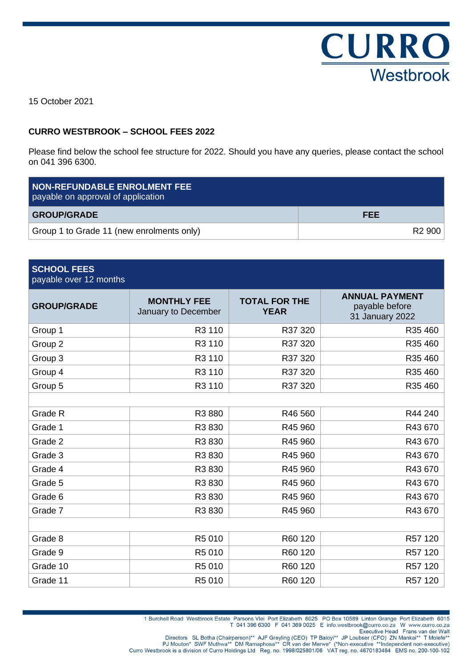

15 October 2021

## **CURRO WESTBROOK – SCHOOL FEES 2022**

Please find below the school fee structure for 2022. Should you have any queries, please contact the school on 041 396 6300.

| <b>NON-REFUNDABLE ENROLMENT FEE</b><br>payable on approval of application |                    |  |
|---------------------------------------------------------------------------|--------------------|--|
| <b>GROUP/GRADE</b>                                                        | <b>FEE</b>         |  |
| Group 1 to Grade 11 (new enrolments only)                                 | R <sub>2</sub> 900 |  |

| <b>SCHOOL FEES</b><br>payable over 12 months |                                           |                                     |                                                            |
|----------------------------------------------|-------------------------------------------|-------------------------------------|------------------------------------------------------------|
| <b>GROUP/GRADE</b>                           | <b>MONTHLY FEE</b><br>January to December | <b>TOTAL FOR THE</b><br><b>YEAR</b> | <b>ANNUAL PAYMENT</b><br>payable before<br>31 January 2022 |
| Group 1                                      | R3 110                                    | R37 320                             | R35 460                                                    |
| Group 2                                      | R3 110                                    | R37 320                             | R35 460                                                    |
| Group 3                                      | R3 110                                    | R37 320                             | R35 460                                                    |
| Group 4                                      | R3 110                                    | R37 320                             | R35 460                                                    |
| Group 5                                      | R3 110                                    | R37 320                             | R35 460                                                    |
|                                              |                                           |                                     |                                                            |
| Grade R                                      | R3 880                                    | R46 560                             | R44 240                                                    |
| Grade 1                                      | R3 830                                    | R45 960                             | R43 670                                                    |
| Grade 2                                      | R3 830                                    | R45 960                             | R43 670                                                    |
| Grade 3                                      | R3 830                                    | R45 960                             | R43 670                                                    |
| Grade 4                                      | R3 830                                    | R45 960                             | R43 670                                                    |
| Grade 5                                      | R3 830                                    | R45 960                             | R43 670                                                    |
| Grade 6                                      | R3 830                                    | R45 960                             | R43 670                                                    |
| Grade 7                                      | R3 830                                    | R45 960                             | R43 670                                                    |
|                                              |                                           |                                     |                                                            |
| Grade 8                                      | R5 010                                    | R60 120                             | R57 120                                                    |
| Grade 9                                      | R5 010                                    | R60 120                             | R57 120                                                    |
| Grade 10                                     | R5 010                                    | R60 120                             | R57 120                                                    |
| Grade 11                                     | R5 010                                    | R60 120                             | R57 120                                                    |

1 Burchell Road Westbrook Estate Parsons Vlei Port Elizabeth 6025 PO Box 10589 Linton Grange Port Elizabeth 6015<br>T 041 396 6300 F 041 369 0025 E info.westbrook@curro.co.za W www.curro.co.za

Directors SL Botha (Chairperson)\*\* AJF Greyling (CEO) TP Baloyi\*\* JP Loubser (CFO) ZN Mankai\*\* T Molefe Walt<br>Executive Head Frans van der Walt<br>PJ Mouton\* SWF Muthwa\*\* DM Ramaphosa\*\* CR van der Merwe\* (\*Non-executive \*\*Inde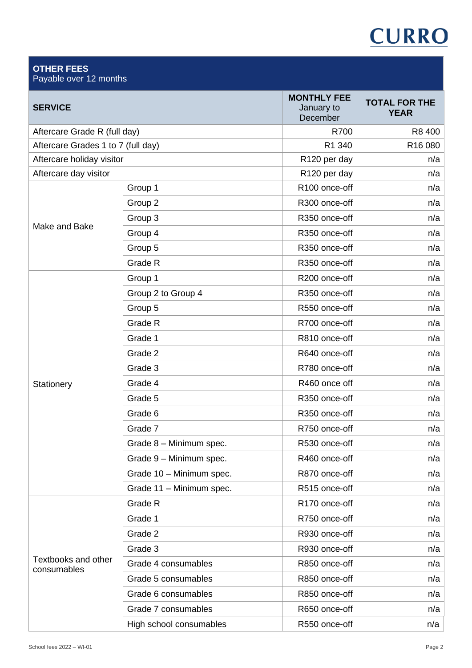# **CURRO**

| <b>OTHER FEES</b><br>Payable over 12 months |                          |                                              |                                     |
|---------------------------------------------|--------------------------|----------------------------------------------|-------------------------------------|
| <b>SERVICE</b>                              |                          | <b>MONTHLY FEE</b><br>January to<br>December | <b>TOTAL FOR THE</b><br><b>YEAR</b> |
| Aftercare Grade R (full day)                |                          | R700                                         | R8 400                              |
| Aftercare Grades 1 to 7 (full day)          |                          | R1 340                                       | R16 080                             |
| Aftercare holiday visitor                   |                          | R120 per day                                 | n/a                                 |
| Aftercare day visitor                       |                          | R120 per day                                 | n/a                                 |
|                                             | Group 1                  | R100 once-off                                | n/a                                 |
|                                             | Group 2                  | R300 once-off                                | n/a                                 |
| Make and Bake                               | Group 3                  | R350 once-off                                | n/a                                 |
|                                             | Group 4                  | R350 once-off                                | n/a                                 |
|                                             | Group 5                  | R350 once-off                                | n/a                                 |
|                                             | Grade R                  | R350 once-off                                | n/a                                 |
|                                             | Group 1                  | R200 once-off                                | n/a                                 |
|                                             | Group 2 to Group 4       | R350 once-off                                | n/a                                 |
|                                             | Group 5                  | R550 once-off                                | n/a                                 |
|                                             | Grade R                  | R700 once-off                                | n/a                                 |
|                                             | Grade 1                  | R810 once-off                                | n/a                                 |
|                                             | Grade 2                  | R640 once-off                                | n/a                                 |
|                                             | Grade 3                  | R780 once-off                                | n/a                                 |
| Stationery                                  | Grade 4                  | R460 once off                                | n/a                                 |
|                                             | Grade 5                  | R350 once-off                                | n/a                                 |
|                                             | Grade 6                  | R350 once-off                                | n/a                                 |
|                                             | Grade 7                  | R750 once-off                                | n/a                                 |
|                                             | Grade 8 - Minimum spec.  | R530 once-off                                | n/a                                 |
|                                             | Grade 9 - Minimum spec.  | R460 once-off                                | n/a                                 |
|                                             | Grade 10 - Minimum spec. | R870 once-off                                | n/a                                 |
|                                             | Grade 11 - Minimum spec. | R515 once-off                                | n/a                                 |
|                                             | Grade R                  | R170 once-off                                | n/a                                 |
|                                             | Grade 1                  | R750 once-off                                | n/a                                 |
|                                             | Grade 2                  | R930 once-off                                | n/a                                 |
|                                             | Grade 3                  | R930 once-off                                | n/a                                 |
| Textbooks and other<br>consumables          | Grade 4 consumables      | R850 once-off                                | n/a                                 |
|                                             | Grade 5 consumables      | R850 once-off                                | n/a                                 |
|                                             | Grade 6 consumables      | R850 once-off                                | n/a                                 |
|                                             | Grade 7 consumables      | R650 once-off                                | n/a                                 |
|                                             | High school consumables  | R550 once-off                                | n/a                                 |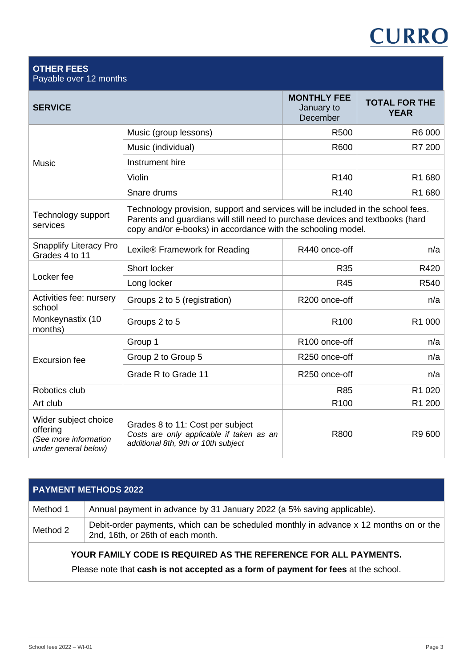# **CURRO**

### **OTHER FEES** Payable over 12 months

| <b>SERVICE</b>                                                                    |                                                                                                                                                                                                                                  | <b>MONTHLY FEE</b><br>January to<br>December | <b>TOTAL FOR THE</b><br><b>YEAR</b> |
|-----------------------------------------------------------------------------------|----------------------------------------------------------------------------------------------------------------------------------------------------------------------------------------------------------------------------------|----------------------------------------------|-------------------------------------|
|                                                                                   | Music (group lessons)                                                                                                                                                                                                            | R500                                         | R6 000                              |
| <b>Music</b>                                                                      | Music (individual)                                                                                                                                                                                                               | R600                                         | R7 200                              |
|                                                                                   | Instrument hire                                                                                                                                                                                                                  |                                              |                                     |
|                                                                                   | Violin                                                                                                                                                                                                                           | R <sub>140</sub>                             | R1 680                              |
|                                                                                   | Snare drums                                                                                                                                                                                                                      | R <sub>140</sub>                             | R1 680                              |
| Technology support<br>services                                                    | Technology provision, support and services will be included in the school fees.<br>Parents and guardians will still need to purchase devices and textbooks (hard<br>copy and/or e-books) in accordance with the schooling model. |                                              |                                     |
| <b>Snapplify Literacy Pro</b><br>Grades 4 to 11                                   | Lexile® Framework for Reading                                                                                                                                                                                                    | R440 once-off                                | n/a                                 |
|                                                                                   | Short locker                                                                                                                                                                                                                     | R35                                          | R420                                |
| Locker fee                                                                        | Long locker                                                                                                                                                                                                                      | <b>R45</b>                                   | R540                                |
| Activities fee: nursery<br>school                                                 | Groups 2 to 5 (registration)                                                                                                                                                                                                     | R200 once-off                                | n/a                                 |
| Monkeynastix (10<br>months)                                                       | Groups 2 to 5                                                                                                                                                                                                                    | R <sub>100</sub>                             | R1 000                              |
|                                                                                   | Group 1                                                                                                                                                                                                                          | R100 once-off                                | n/a                                 |
| <b>Excursion fee</b>                                                              | Group 2 to Group 5                                                                                                                                                                                                               | R250 once-off                                | n/a                                 |
|                                                                                   | Grade R to Grade 11                                                                                                                                                                                                              | R250 once-off                                | n/a                                 |
| Robotics club                                                                     |                                                                                                                                                                                                                                  | <b>R85</b>                                   | R1 020                              |
| Art club                                                                          |                                                                                                                                                                                                                                  | R <sub>100</sub>                             | R1 200                              |
| Wider subject choice<br>offering<br>(See more information<br>under general below) | Grades 8 to 11: Cost per subject<br>Costs are only applicable if taken as an<br>additional 8th, 9th or 10th subject                                                                                                              | R800                                         | R9 600                              |

| <b>PAYMENT METHODS 2022</b> |                                                                                                                            |  |
|-----------------------------|----------------------------------------------------------------------------------------------------------------------------|--|
| Method 1                    | Annual payment in advance by 31 January 2022 (a 5% saving applicable).                                                     |  |
| Method 2                    | Debit-order payments, which can be scheduled monthly in advance x 12 months on or the<br>2nd, 16th, or 26th of each month. |  |

# **YOUR FAMILY CODE IS REQUIRED AS THE REFERENCE FOR ALL PAYMENTS.**

Please note that **cash is not accepted as a form of payment for fees** at the school.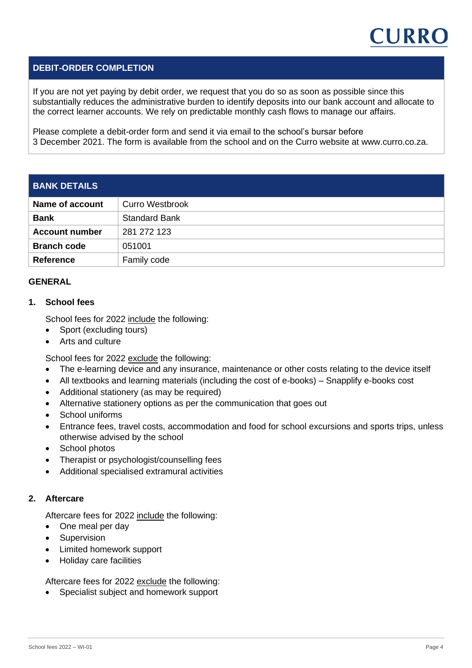

# **DEBIT-ORDER COMPLETION**

If you are not yet paying by debit order, we request that you do so as soon as possible since this substantially reduces the administrative burden to identify deposits into our bank account and allocate to the correct learner accounts. We rely on predictable monthly cash flows to manage our affairs.

Please complete a debit-order form and send it via email to the school's bursar before 3 December 2021. The form is available from the school and on the Curro website at www.curro.co.za.

| <b>BANK DETAILS</b>   |                        |
|-----------------------|------------------------|
| Name of account       | <b>Curro Westbrook</b> |
| <b>Bank</b>           | <b>Standard Bank</b>   |
| <b>Account number</b> | 281 272 123            |
| <b>Branch code</b>    | 051001                 |
| <b>Reference</b>      | Family code            |

#### **GENERAL**

#### **1. School fees**

School fees for 2022 include the following:

- Sport (excluding tours)
- Arts and culture

School fees for 2022 exclude the following:

- The e-learning device and any insurance, maintenance or other costs relating to the device itself
- All textbooks and learning materials (including the cost of e-books) Snapplify e-books cost
- Additional stationery (as may be required)
- Alternative stationery options as per the communication that goes out
- School uniforms
- Entrance fees, travel costs, accommodation and food for school excursions and sports trips, unless otherwise advised by the school
- School photos
- Therapist or psychologist/counselling fees
- Additional specialised extramural activities

#### **2. Aftercare**

Aftercare fees for 2022 include the following:

- One meal per day
- Supervision
- Limited homework support
- Holiday care facilities

Aftercare fees for 2022 exclude the following:

• Specialist subject and homework support